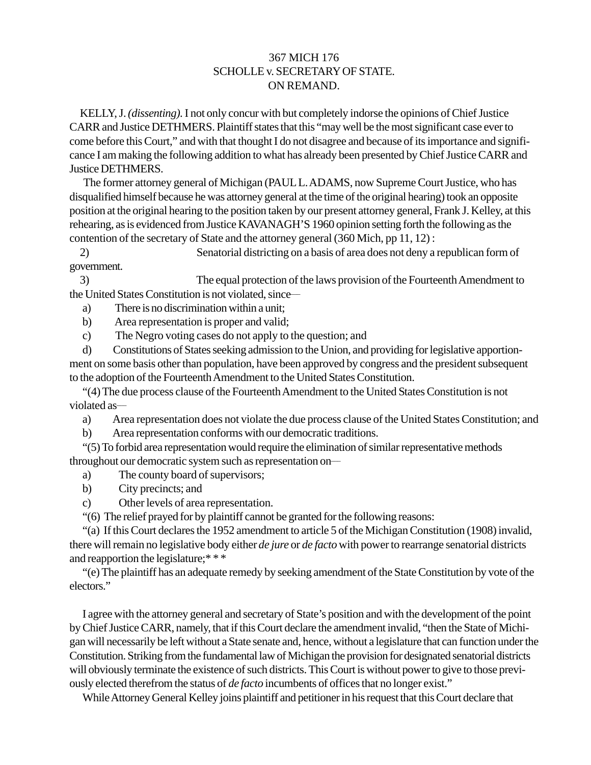## 367 MICH 176 SCHOLLE v. SECRETARY OF STATE. ON REMAND.

KELLY, J. *(dissenting).* I not only concur with but completely indorse the opinions of Chief Justice CARR and Justice DETHMERS. Plaintiff states that this "may well be the most significant case ever to come before this Court," and with that thought I do not disagree and because of its importance and significance I am making the following addition to what has already been presented by Chief Justice CARR and Justice DETHMERS.

The former attorney general of Michigan (PAUL L. ADAMS, now Supreme Court Justice, who has disqualified himself because he was attorney general at the time of the original hearing) took an opposite position at the original hearing to the position taken by our present attorney general, Frank J. Kelley, at this rehearing, as is evidenced from Justice KAVANAGH'S 1960 opinion setting forth the following as the contention of the secretary of State and the attorney general (360 Mich, pp 11, 12) :

2) Senatorial districting on a basis of area does not deny a republican form of government.

3) The equal protection of the laws provision of the Fourteenth Amendment to the United States Constitution is not violated, since—

a) There is no discrimination within a unit;

b) Area representation is proper and valid;

c) The Negro voting cases do not apply to the question; and

d) Constitutions of States seeking admission to the Union, and providing for legislative apportionment on some basis other than population, have been approved by congress and the president subsequent to the adoption of the Fourteenth Amendment to the United States Constitution.

"(4) The due process clause of the Fourteenth Amendment to the United States Constitution is not violated as-

a) Area representation does not violate the due process clause of the United States Constitution; and

b) Area representation conforms with our democratic traditions.

"(5) To forbid area representation would require the elimination of similar representative methods throughout our democratic system such as representation on-

a) The county board of supervisors;

- b) City precincts; and
- c) Other levels of area representation.

"(6) The relief prayed for by plaintiff cannot be granted for the following reasons:

"(a) If this Court declares the 1952 amendment to article 5 of the Michigan Constitution (1908) invalid, there will remain no legislative body either *de jure* or *de facto* with power to rearrange senatorial districts and reapportion the legislature;\* \* \*

"(e) The plaintiff has an adequate remedy by seeking amendment of the State Constitution by vote of the electors."

I agree with the attorney general and secretary of State's position and with the development of the point by Chief Justice CARR, namely, that if this Court declare the amendment invalid, "then the State of Michigan will necessarily be left without a State senate and, hence, without a legislature that can function under the Constitution. Striking from the fundamental law of Michigan the provision for designated senatorial districts will obviously terminate the existence of such districts. This Court is without power to give to those previously elected therefrom the status of *de facto* incumbents of offices that no longer exist."

While Attorney General Kelley joins plaintiff and petitioner in his request that this Court declare that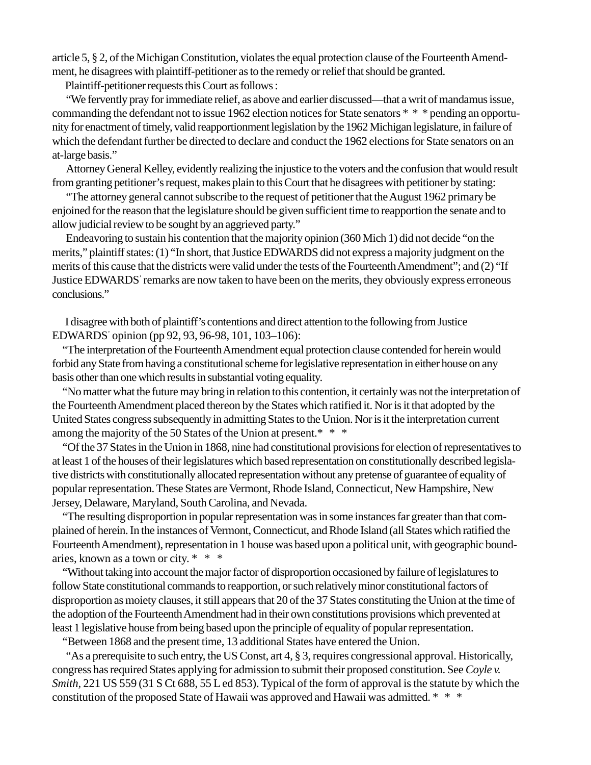article 5, § 2, of the Michigan Constitution, violates the equal protection clause of the Fourteenth Amendment, he disagrees with plaintiff-petitioner as to the remedy or relief that should be granted.

Plaintiff-petitioner requests this Court as follows :

"We fervently pray for immediate relief, as above and earlier discussed—that a writ of mandamus issue, commanding the defendant not to issue 1962 election notices for State senators \* \* \* pending an opportunity for enactment of timely, valid reapportionment legislation by the 1962 Michigan legislature, in failure of which the defendant further be directed to declare and conduct the 1962 elections for State senators on an at-large basis."

Attorney General Kelley, evidently realizing the injustice to the voters and the confusion that would result from granting petitioner's request, makes plain to this Court that he disagrees with petitioner by stating:

"The attorney general cannot subscribe to the request of petitioner that the August 1962 primary be enjoined for the reason that the legislature should be given sufficient time to reapportion the senate and to allow judicial review to be sought by an aggrieved party."

Endeavoring to sustain his contention that the majority opinion (360 Mich 1) did not decide "on the merits," plaintiff states: (1) "In short, that Justice EDWARDS did not express a majority judgment on the merits of this cause that the districts were valid under the tests of the Fourteenth Amendment"; and (2) "If Justice EDWARDS' remarks are now taken to have been on the merits, they obviously express erroneous conclusions."

I disagree with both of plaintiff's contentions and direct attention to the following from Justice EDWARDS' opinion (pp 92, 93, 96-98, 101, 103–106):

"The interpretation of the Fourteenth Amendment equal protection clause contended for herein would forbid any State from having a constitutional scheme for legislative representation in either house on any basis other than one which results in substantial voting equality.

"No matter what the future may bring in relation to this contention, it certainly was not the interpretation of the Fourteenth Amendment placed thereon by the States which ratified it. Nor is it that adopted by the United States congress subsequently in admitting States to the Union. Nor is it the interpretation current among the majority of the 50 States of the Union at present.\* \* \*

"Of the 37 States in the Union in 1868, nine had constitutional provisions for election of representatives to at least 1 of the houses of their legislatures which based representation on constitutionally described legislative districts with constitutionally allocated representation without any pretense of guarantee of equality of popular representation. These States are Vermont, Rhode Island, Connecticut, New Hampshire, New Jersey, Delaware, Maryland, South Carolina, and Nevada.

"The resulting disproportion in popular representation was in some instances far greater than that complained of herein. In the instances of Vermont, Connecticut, and Rhode Island (all States which ratified the Fourteenth Amendment), representation in 1 house was based upon a political unit, with geographic boundaries, known as a town or city. \* \* \*

"Without taking into account the major factor of disproportion occasioned by failure of legislatures to follow State constitutional commands to reapportion, or such relatively minor constitutional factors of disproportion as moiety clauses, it still appears that 20 of the 37 States constituting the Union at the time of the adoption of the Fourteenth Amendment had in their own constitutions provisions which prevented at least 1 legislative house from being based upon the principle of equality of popular representation.

"Between 1868 and the present time, 13 additional States have entered the Union.

"As a prerequisite to such entry, the US Const, art 4, § 3, requires congressional approval. Historically, congress has required States applying for admission to submit their proposed constitution. See *Coyle v. Smith,* 221 US 559 (31 S Ct 688, 55 L ed 853). Typical of the form of approval is the statute by which the constitution of the proposed State of Hawaii was approved and Hawaii was admitted. \* \* \*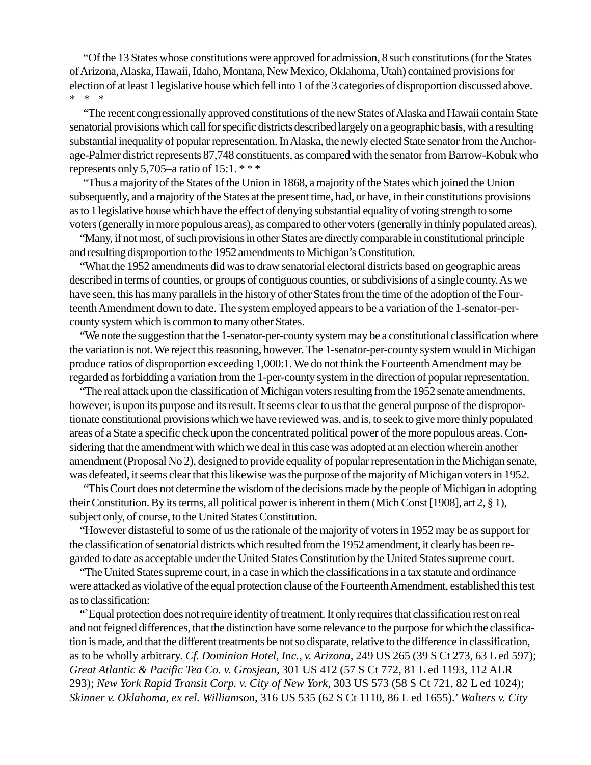"Of the 13 States whose constitutions were approved for admission, 8 such constitutions (for the States of Arizona, Alaska, Hawaii, Idaho, Montana, New Mexico, Oklahoma, Utah) contained provisions for election of at least 1 legislative house which fell into 1 of the 3 categories of disproportion discussed above. \* \* \*

"The recent congressionally approved constitutions of the new States of Alaska and Hawaii contain State senatorial provisions which call for specific districts described largely on a geographic basis, with a resulting substantial inequality of popular representation. In Alaska, the newly elected State senator from the Anchorage-Palmer district represents 87,748 constituents, as compared with the senator from Barrow-Kobuk who represents only 5,705–a ratio of 15:1.  $***$ 

"Thus a majority of the States of the Union in 1868, a majority of the States which joined the Union subsequently, and a majority of the States at the present time, had, or have, in their constitutions provisions as to 1 legislative house which have the effect of denying substantial equality of voting strength to some voters (generally in more populous areas), as compared to other voters (generally in thinly populated areas).

"Many, if not most, of such provisions in other States are directly comparable in constitutional principle and resulting disproportion to the 1952 amendments to Michigan's Constitution.

"What the 1952 amendments did was to draw senatorial electoral districts based on geographic areas described in terms of counties, or groups of contiguous counties, or subdivisions of a single county. As we have seen, this has many parallels in the history of other States from the time of the adoption of the Fourteenth Amendment down to date. The system employed appears to be a variation of the 1-senator-percounty system which is common to many other States.

"We note the suggestion that the 1-senator-per-county system may be a constitutional classification where the variation is not. We reject this reasoning, however. The 1-senator-per-county system would in Michigan produce ratios of disproportion exceeding 1,000:1. We do not think the Fourteenth Amendment may be regarded as forbidding a variation from the 1-per-county system in the direction of popular representation.

"The real attack upon the classification of Michigan voters resulting from the 1952 senate amendments, however, is upon its purpose and its result. It seems clear to us that the general purpose of the disproportionate constitutional provisions which we have reviewed was, and is, to seek to give more thinly populated areas of a State a specific check upon the concentrated political power of the more populous areas. Considering that the amendment with which we deal in this case was adopted at an election wherein another amendment (Proposal No 2), designed to provide equality of popular representation in the Michigan senate, was defeated, it seems clear that this likewise was the purpose of the majority of Michigan voters in 1952.

"This Court does not determine the wisdom of the decisions made by the people of Michigan in adopting their Constitution. By its terms, all political power is inherent in them (Mich Const [1908], art 2, § 1), subject only, of course, to the United States Constitution.

"However distasteful to some of us the rationale of the majority of voters in 1952 may be as support for the classification of senatorial districts which resulted from the 1952 amendment, it clearly has been regarded to date as acceptable under the United States Constitution by the United States supreme court.

"The United States supreme court, in a case in which the classifications in a tax statute and ordinance were attacked as violative of the equal protection clause of the Fourteenth Amendment, established this test as to classification:

"`Equal protection does not require identity of treatment. It only requires that classification rest on real and not feigned differences, that the distinction have some relevance to the purpose for which the classification is made, and that the different treatments be not so disparate, relative to the difference in classification, as to be wholly arbitrary. *Cf. Dominion Hotel, Inc., v. Arizona,* 249 US 265 (39 S Ct 273, 63 L ed 597); *Great Atlantic & Pacific Tea Co. v. Grosjean,* 301 US 412 (57 S Ct 772, 81 L ed 1193, 112 ALR 293); *New York Rapid Transit Corp. v. City of New York,* 303 US 573 (58 S Ct 721, 82 L ed 1024); *Skinner v. Oklahoma, ex rel. Williamson,* 316 US 535 (62 S Ct 1110, 86 L ed 1655).' *Walters v. City*